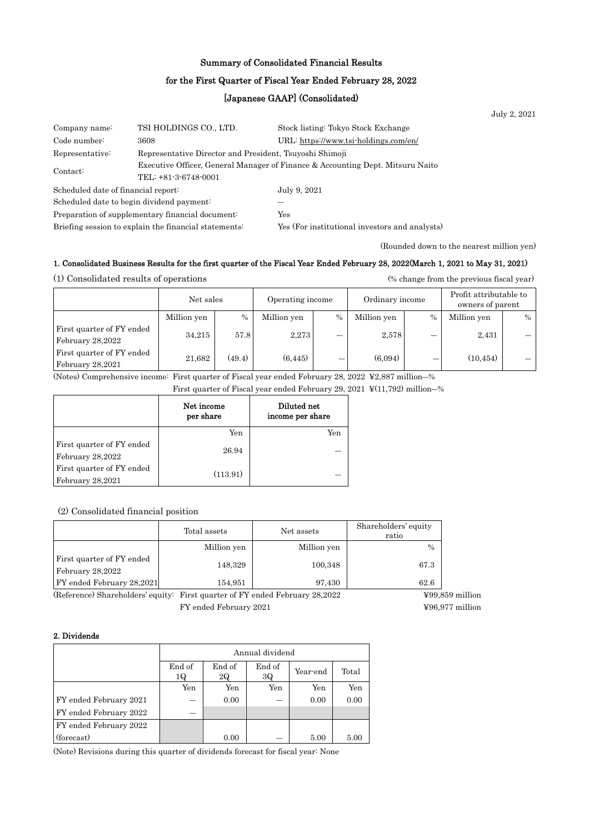## Summary of Consolidated Financial Results

## for the First Quarter of Fiscal Year Ended February 28, 2022

## [Japanese GAAP] (Consolidated)

|                                                                            |                        |                                                                                | July 2, 2021 |
|----------------------------------------------------------------------------|------------------------|--------------------------------------------------------------------------------|--------------|
| Company name:                                                              | TSI HOLDINGS CO., LTD. | Stock listing: Tokyo Stock Exchange                                            |              |
| Code number:                                                               | 3608                   | URL: https://www.tsi-holdings.com/en/                                          |              |
| Representative Director and President, Tsuyoshi Shimoji<br>Representative: |                        |                                                                                |              |
| Contact:<br>TEL: +81-3-6748-0001                                           |                        | Executive Officer, General Manager of Finance & Accounting Dept. Mitsuru Naito |              |
| Scheduled date of financial report:                                        |                        | July 9, 2021                                                                   |              |
| Scheduled date to begin dividend payment:                                  |                        |                                                                                |              |
| Preparation of supplementary financial document.                           |                        | Yes                                                                            |              |
| Briefing session to explain the financial statements:                      |                        | Yes (For institutional investors and analysts)                                 |              |

(Rounded down to the nearest million yen)

### 1. Consolidated Business Results for the first quarter of the Fiscal Year Ended February 28, 2022(March 1, 2021 to May 31, 2021)

(1) Consolidated results of operations (% change from the previous fiscal year)

|                                               | Net sales   |        | Operating income |      | Ordinary income |               | Profit attributable to<br>owners of parent |      |
|-----------------------------------------------|-------------|--------|------------------|------|-----------------|---------------|--------------------------------------------|------|
|                                               | Million yen | $\%$   | Million yen      | $\%$ | Million yen     | $\frac{0}{0}$ | Million yen                                | $\%$ |
| First quarter of FY ended<br>February 28,2022 | 34.215      | 57.8   | 2.273            | -    | 2,578           |               | 2,431                                      |      |
| First quarter of FY ended<br>February 28,2021 | 21.682      | (49.4) | (6, 445)         | –    | (6,094)         | _             | (10, 454)                                  |      |

(Notes) Comprehensive income: First quarter of Fiscal year ended February 28, 2022 ¥2,887 million―%

First quarter of Fiscal year ended February 29, 2021 ¥(11,792) million―%

|                                               | Net income<br>per share | Diluted net<br>income per share |
|-----------------------------------------------|-------------------------|---------------------------------|
|                                               | Yen                     | Yen                             |
| First quarter of FY ended<br>February 28,2022 | 26.94                   |                                 |
| First quarter of FY ended<br>February 28,2021 | (113.91)                |                                 |

### (2) Consolidated financial position

|                                               | Total assets | Net assets  | Shareholders' equity<br>ratio |
|-----------------------------------------------|--------------|-------------|-------------------------------|
|                                               | Million yen  | Million yen | $\frac{0}{0}$                 |
| First quarter of FY ended<br>February 28,2022 | 148,329      | 100,348     | 67.3                          |
| FY ended February 28,2021                     | 154,951      | 97,430      | 62.6                          |

(Reference) Shareholders' equity: First quarter of FY ended February 28,2022 ¥99,859 million FY ended February 2021 ¥96,977 million

### 2. Dividends

|                        | Annual dividend |                                          |     |      |      |  |  |
|------------------------|-----------------|------------------------------------------|-----|------|------|--|--|
|                        | End of<br>1Q    | End of<br>End of<br>Year-end<br>3Q<br>2Q |     |      |      |  |  |
|                        | Yen             | Yen                                      | Yen | Yen  | Yen  |  |  |
| FY ended February 2021 |                 | 0.00                                     | –   | 0.00 | 0.00 |  |  |
| FY ended February 2022 |                 |                                          |     |      |      |  |  |
| FY ended February 2022 |                 |                                          |     |      |      |  |  |
| (forecast)             |                 | 0.00                                     |     | 5.00 | 5.00 |  |  |

(Note) Revisions during this quarter of dividends forecast for fiscal year: None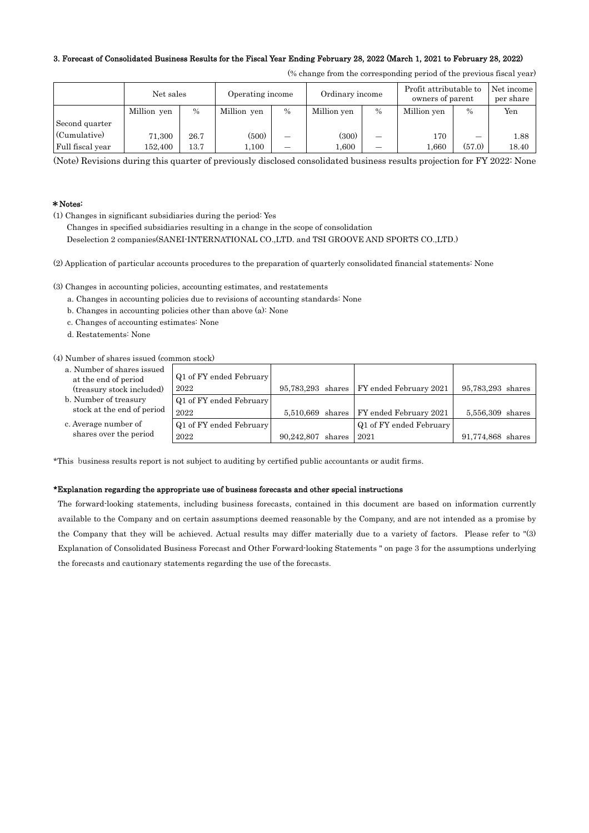## 3. Forecast of Consolidated Business Results for the Fiscal Year Ending February 28, 2022 (March 1, 2021 to February 28, 2022)

|                  | Net sales   |               | Operating income |      | Ordinary income |                          | Profit attributable to<br>owners of parent |               | Net income<br>per share |
|------------------|-------------|---------------|------------------|------|-----------------|--------------------------|--------------------------------------------|---------------|-------------------------|
|                  | Million yen | $\frac{0}{0}$ | Million yen      | $\%$ | Million yen     | $\%$                     | Million yen                                | $\frac{0}{0}$ | Yen                     |
| Second quarter   |             |               |                  |      |                 |                          |                                            |               |                         |
| (Cumulative)     | 71,300      | 26.7          | (500)            | _    | (300)           | –                        | 170                                        | –             | 1.88                    |
| Full fiscal year | 152.400     | $^{13.7}$     | 1.100            |      | 1.600           | $\overline{\phantom{0}}$ | 1.660                                      | (57.0)        | 18.40                   |

(% change from the corresponding period of the previous fiscal year)

(Note) Revisions during this quarter of previously disclosed consolidated business results projection for FY 2022: None

### \*Notes:

(1) Changes in significant subsidiaries during the period: Yes

Changes in specified subsidiaries resulting in a change in the scope of consolidation

Deselection 2 companies(SANEI-INTERNATIONAL CO.,LTD. and TSI GROOVE AND SPORTS CO.,LTD.)

(2) Application of particular accounts procedures to the preparation of quarterly consolidated financial statements: None

(3) Changes in accounting policies, accounting estimates, and restatements

- a. Changes in accounting policies due to revisions of accounting standards: None
- b. Changes in accounting policies other than above (a): None
- c. Changes of accounting estimates: None
- d. Restatements: None

(4) Number of shares issued (common stock)

- a. Number of shares issued at the end of period (treasury stock included)
- b. Number of treasury stock at the end of period
- c. Average number of shares over the period

| Q1 of FY ended February |                   |                                            |                   |
|-------------------------|-------------------|--------------------------------------------|-------------------|
| 2022                    |                   | 95,783,293 shares   FY ended February 2021 | 95,783,293 shares |
| Q1 of FY ended February |                   |                                            |                   |
| 2022                    |                   | 5,510,669 shares   FY ended February 2021  | 5,556,309 shares  |
| Q1 of FY ended February |                   | Q1 of FY ended February                    |                   |
| 2022                    | 90,242,807 shares | 2021                                       | 91,774,868 shares |

\*This business results report is not subject to auditing by certified public accountants or audit firms.

### \*Explanation regarding the appropriate use of business forecasts and other special instructions

The forward-looking statements, including business forecasts, contained in this document are based on information currently available to the Company and on certain assumptions deemed reasonable by the Company, and are not intended as a promise by the Company that they will be achieved. Actual results may differ materially due to a variety of factors. Please refer to "(3) Explanation of Consolidated Business Forecast and Other Forward-looking Statements " on page 3 for the assumptions underlying the forecasts and cautionary statements regarding the use of the forecasts.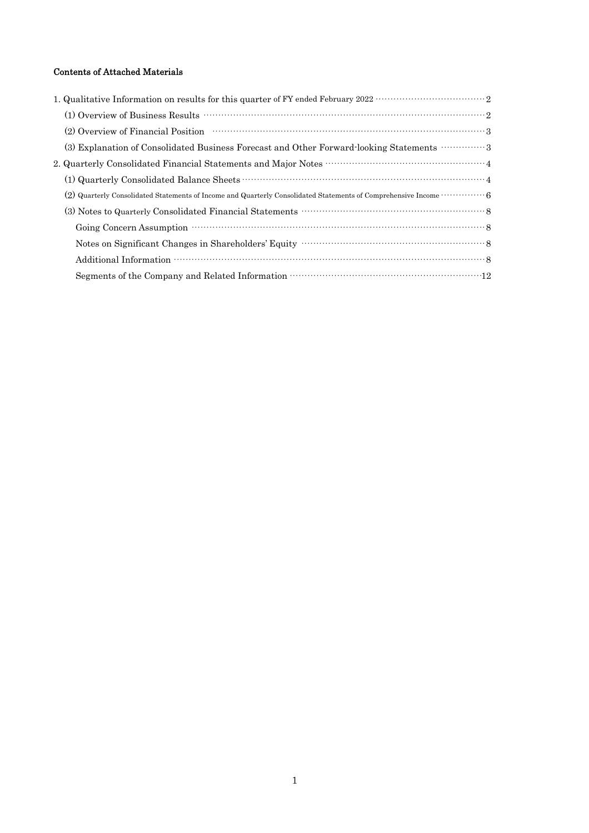## Contents of Attached Materials

| (2) Overview of Financial Position (2) Overview of Financial Position (3)                                                                                                                                                      |
|--------------------------------------------------------------------------------------------------------------------------------------------------------------------------------------------------------------------------------|
| (3) Explanation of Consolidated Business Forecast and Other Forward-looking Statements  3                                                                                                                                      |
|                                                                                                                                                                                                                                |
|                                                                                                                                                                                                                                |
| (2) Quarterly Consolidated Statements of Income and Quarterly Consolidated Statements of Comprehensive Income  6                                                                                                               |
|                                                                                                                                                                                                                                |
| Going Concern Assumption materials and contact and contact and contact and contact and contact and contact and contact and contact and contact and contact and contact and contact and contact and contact and contact and con |
|                                                                                                                                                                                                                                |
|                                                                                                                                                                                                                                |
|                                                                                                                                                                                                                                |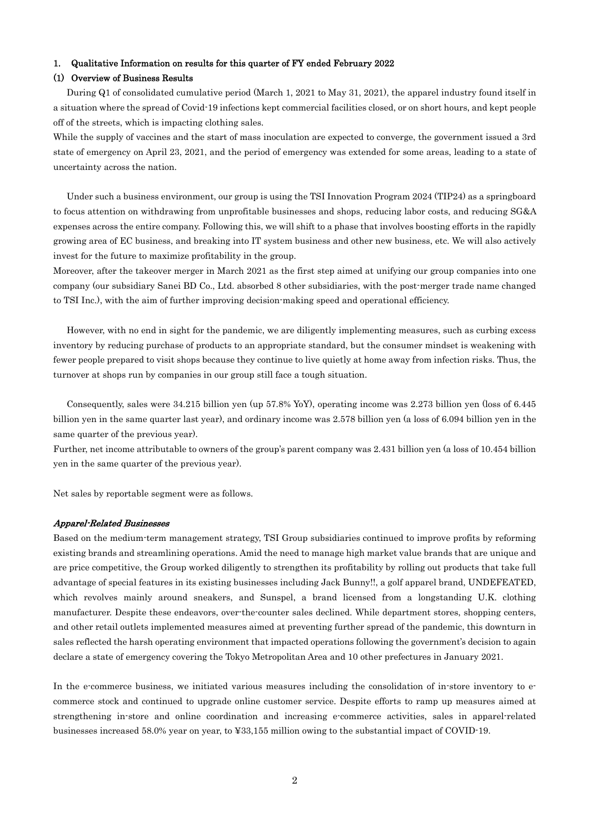### 1. Qualitative Information on results for this quarter of FY ended February 2022

### (1) Overview of Business Results

 During Q1 of consolidated cumulative period (March 1, 2021 to May 31, 2021), the apparel industry found itself in a situation where the spread of Covid-19 infections kept commercial facilities closed, or on short hours, and kept people off of the streets, which is impacting clothing sales.

While the supply of vaccines and the start of mass inoculation are expected to converge, the government issued a 3rd state of emergency on April 23, 2021, and the period of emergency was extended for some areas, leading to a state of uncertainty across the nation.

 Under such a business environment, our group is using the TSI Innovation Program 2024 (TIP24) as a springboard to focus attention on withdrawing from unprofitable businesses and shops, reducing labor costs, and reducing SG&A expenses across the entire company. Following this, we will shift to a phase that involves boosting efforts in the rapidly growing area of EC business, and breaking into IT system business and other new business, etc. We will also actively invest for the future to maximize profitability in the group.

Moreover, after the takeover merger in March 2021 as the first step aimed at unifying our group companies into one company (our subsidiary Sanei BD Co., Ltd. absorbed 8 other subsidiaries, with the post-merger trade name changed to TSI Inc.), with the aim of further improving decision-making speed and operational efficiency.

 However, with no end in sight for the pandemic, we are diligently implementing measures, such as curbing excess inventory by reducing purchase of products to an appropriate standard, but the consumer mindset is weakening with fewer people prepared to visit shops because they continue to live quietly at home away from infection risks. Thus, the turnover at shops run by companies in our group still face a tough situation.

 Consequently, sales were 34.215 billion yen (up 57.8% YoY), operating income was 2.273 billion yen (loss of 6.445 billion yen in the same quarter last year), and ordinary income was 2.578 billion yen (a loss of 6.094 billion yen in the same quarter of the previous year).

Further, net income attributable to owners of the group's parent company was 2.431 billion yen (a loss of 10.454 billion yen in the same quarter of the previous year).

Net sales by reportable segment were as follows.

### Apparel-Related Businesses

Based on the medium-term management strategy, TSI Group subsidiaries continued to improve profits by reforming existing brands and streamlining operations. Amid the need to manage high market value brands that are unique and are price competitive, the Group worked diligently to strengthen its profitability by rolling out products that take full advantage of special features in its existing businesses including Jack Bunny!!, a golf apparel brand, UNDEFEATED, which revolves mainly around sneakers, and Sunspel, a brand licensed from a longstanding U.K. clothing manufacturer. Despite these endeavors, over-the-counter sales declined. While department stores, shopping centers, and other retail outlets implemented measures aimed at preventing further spread of the pandemic, this downturn in sales reflected the harsh operating environment that impacted operations following the government's decision to again declare a state of emergency covering the Tokyo Metropolitan Area and 10 other prefectures in January 2021.

In the e-commerce business, we initiated various measures including the consolidation of in-store inventory to ecommerce stock and continued to upgrade online customer service. Despite efforts to ramp up measures aimed at strengthening in-store and online coordination and increasing e-commerce activities, sales in apparel-related businesses increased 58.0% year on year, to ¥33,155 million owing to the substantial impact of COVID-19.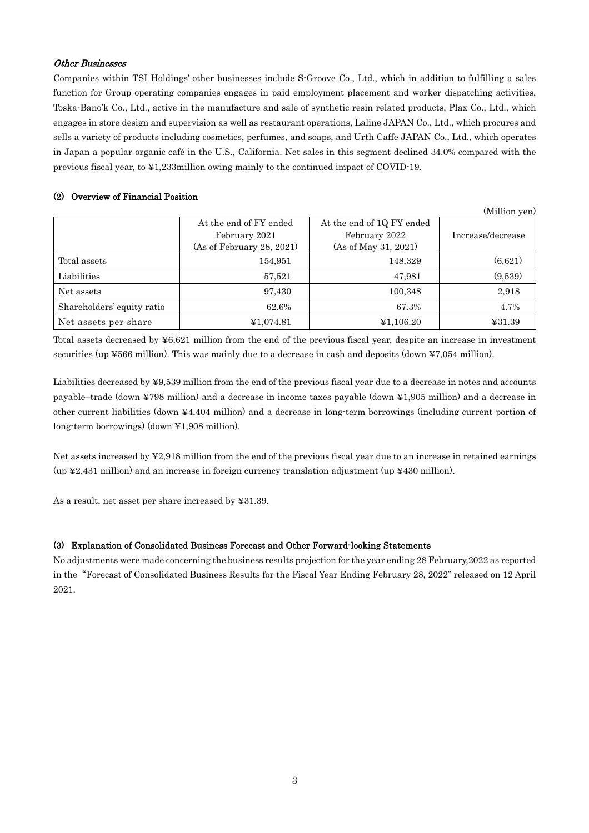## Other Businesses

Companies within TSI Holdings' other businesses include S-Groove Co., Ltd., which in addition to fulfilling a sales function for Group operating companies engages in paid employment placement and worker dispatching activities, Toska-Bano'k Co., Ltd., active in the manufacture and sale of synthetic resin related products, Plax Co., Ltd., which engages in store design and supervision as well as restaurant operations, Laline JAPAN Co., Ltd., which procures and sells a variety of products including cosmetics, perfumes, and soaps, and Urth Caffe JAPAN Co., Ltd., which operates in Japan a popular organic café in the U.S., California. Net sales in this segment declined 34.0% compared with the previous fiscal year, to ¥1,233million owing mainly to the continued impact of COVID-19.

## (2) Overview of Financial Position

(Million yen)

|                            | At the end of FY ended    | At the end of 1Q FY ended |                   |
|----------------------------|---------------------------|---------------------------|-------------------|
|                            | February 2021             | February 2022             | Increase/decrease |
|                            | (As of February 28, 2021) | (As of May 31, 2021)      |                   |
| Total assets               | 154,951                   | 148,329                   | (6,621)           |
| Liabilities                | 57.521                    | 47.981                    | (9,539)           |
| Net assets                 | 97.430                    | 100,348                   | 2.918             |
| Shareholders' equity ratio | 62.6%                     | 67.3%                     | 4.7%              |
| Net assets per share       | ¥1,074.81                 | ¥1,106.20                 | ¥31.39            |

Total assets decreased by ¥6,621 million from the end of the previous fiscal year, despite an increase in investment securities (up ¥566 million). This was mainly due to a decrease in cash and deposits (down ¥7,054 million).

Liabilities decreased by ¥9,539 million from the end of the previous fiscal year due to a decrease in notes and accounts payable–trade (down ¥798 million) and a decrease in income taxes payable (down ¥1,905 million) and a decrease in other current liabilities (down ¥4,404 million) and a decrease in long-term borrowings (including current portion of long-term borrowings) (down ¥1,908 million).

Net assets increased by ¥2,918 million from the end of the previous fiscal year due to an increase in retained earnings  $\mu$  (up ¥2,431 million) and an increase in foreign currency translation adjustment (up ¥430 million).

As a result, net asset per share increased by ¥31.39.

## (3) Explanation of Consolidated Business Forecast and Other Forward-looking Statements

No adjustments were made concerning the business results projection for the year ending 28 February,2022 as reported in the"Forecast of Consolidated Business Results for the Fiscal Year Ending February 28, 2022" released on 12 April 2021.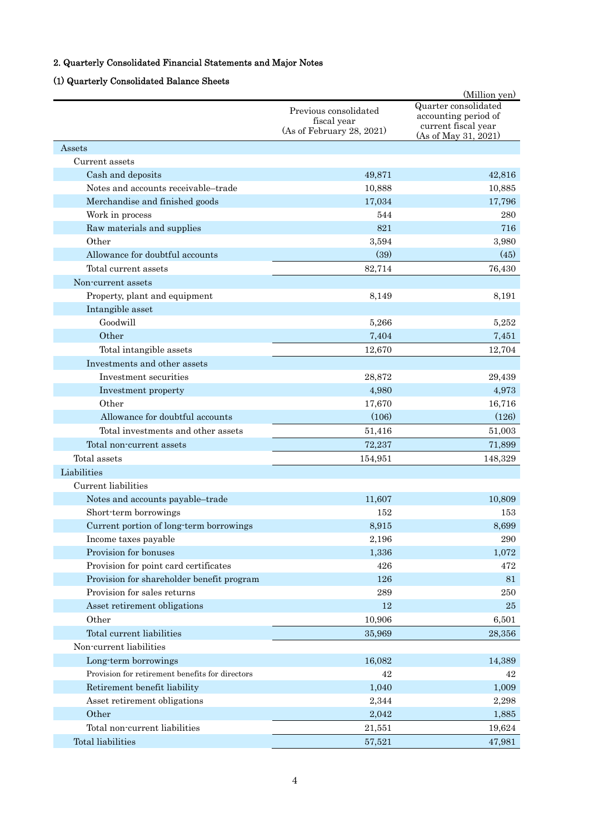# 2. Quarterly Consolidated Financial Statements and Major Notes

# (1) Quarterly Consolidated Balance Sheets

|                                                 |                                      | (Million yen)                                                       |
|-------------------------------------------------|--------------------------------------|---------------------------------------------------------------------|
|                                                 | Previous consolidated<br>fiscal year | Quarter consolidated<br>accounting period of<br>current fiscal year |
|                                                 | (As of February 28, 2021)            | (As of May 31, 2021)                                                |
| Assets                                          |                                      |                                                                     |
| Current assets                                  |                                      |                                                                     |
| Cash and deposits                               | 49,871                               | 42,816                                                              |
| Notes and accounts receivable-trade             | 10,888                               | 10,885                                                              |
| Merchandise and finished goods                  | 17,034                               | 17,796                                                              |
| Work in process                                 | 544                                  | 280                                                                 |
| Raw materials and supplies                      | 821                                  | 716                                                                 |
| Other                                           | 3,594                                | 3,980                                                               |
| Allowance for doubtful accounts                 | (39)                                 | (45)                                                                |
| Total current assets                            | 82,714                               | 76,430                                                              |
| Non-current assets                              |                                      |                                                                     |
| Property, plant and equipment                   | 8,149                                | 8.191                                                               |
| Intangible asset                                |                                      |                                                                     |
| Goodwill                                        | 5,266                                | 5,252                                                               |
| Other                                           | 7,404                                | 7,451                                                               |
| Total intangible assets                         | 12,670                               | 12,704                                                              |
| Investments and other assets                    |                                      |                                                                     |
| Investment securities                           | 28,872                               | 29,439                                                              |
| Investment property                             | 4,980                                | 4,973                                                               |
| Other                                           | 17,670                               | 16,716                                                              |
| Allowance for doubtful accounts                 | (106)                                | (126)                                                               |
| Total investments and other assets              | 51,416                               | 51,003                                                              |
| Total non-current assets                        | 72,237                               | 71,899                                                              |
| Total assets                                    | 154,951                              | 148,329                                                             |
| Liabilities                                     |                                      |                                                                     |
| Current liabilities                             |                                      |                                                                     |
| Notes and accounts payable-trade                | 11,607                               | 10,809                                                              |
| Short-term borrowings                           | 152                                  | 153                                                                 |
| Current portion of long-term borrowings         | 8,915                                | 8,699                                                               |
| Income taxes payable                            | 2,196                                | 290                                                                 |
| Provision for bonuses                           | 1,336                                | 1,072                                                               |
| Provision for point card certificates           | 426                                  | 472                                                                 |
| Provision for shareholder benefit program       | 126                                  | 81                                                                  |
| Provision for sales returns                     | 289                                  | 250                                                                 |
| Asset retirement obligations                    | 12                                   | 25                                                                  |
| Other                                           | 10,906                               | 6,501                                                               |
| Total current liabilities                       | 35,969                               | 28,356                                                              |
| Non-current liabilities                         |                                      |                                                                     |
| Long-term borrowings                            | 16,082                               | 14,389                                                              |
| Provision for retirement benefits for directors | 42                                   | 42                                                                  |
| Retirement benefit liability                    | 1,040                                | 1,009                                                               |
| Asset retirement obligations                    | 2,344                                | 2,298                                                               |
| Other                                           | 2,042                                | 1,885                                                               |
| Total non-current liabilities                   | 21,551                               | 19,624                                                              |
| Total liabilities                               | 57,521                               | 47,981                                                              |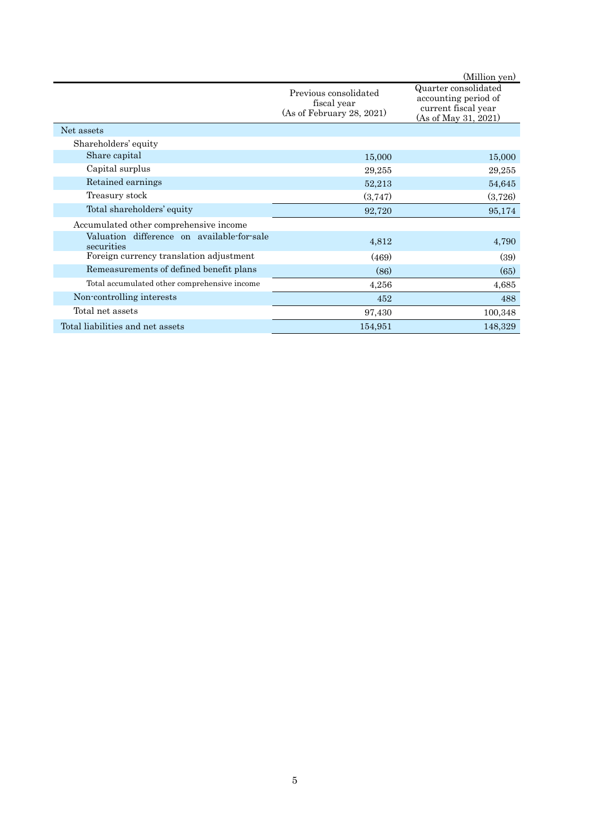|                                                          |                                                                   | (Million yen)                                                                               |
|----------------------------------------------------------|-------------------------------------------------------------------|---------------------------------------------------------------------------------------------|
|                                                          | Previous consolidated<br>fiscal year<br>(As of February 28, 2021) | Quarter consolidated<br>accounting period of<br>current fiscal year<br>(As of May 31, 2021) |
| Net assets                                               |                                                                   |                                                                                             |
| Shareholders' equity                                     |                                                                   |                                                                                             |
| Share capital                                            | 15,000                                                            | 15,000                                                                                      |
| Capital surplus                                          | 29,255                                                            | 29,255                                                                                      |
| Retained earnings                                        | 52,213                                                            | 54,645                                                                                      |
| Treasury stock                                           | (3,747)                                                           | (3,726)                                                                                     |
| Total shareholders' equity                               | 92,720                                                            | 95,174                                                                                      |
| Accumulated other comprehensive income                   |                                                                   |                                                                                             |
| Valuation difference on available-for-sale<br>securities | 4,812                                                             | 4,790                                                                                       |
| Foreign currency translation adjustment                  | (469)                                                             | (39)                                                                                        |
| Remeasurements of defined benefit plans                  | (86)                                                              | (65)                                                                                        |
| Total accumulated other comprehensive income             | 4,256                                                             | 4,685                                                                                       |
| Non-controlling interests                                | 452                                                               | 488                                                                                         |
| Total net assets                                         | 97,430                                                            | 100,348                                                                                     |
| Total liabilities and net assets                         | 154,951                                                           | 148,329                                                                                     |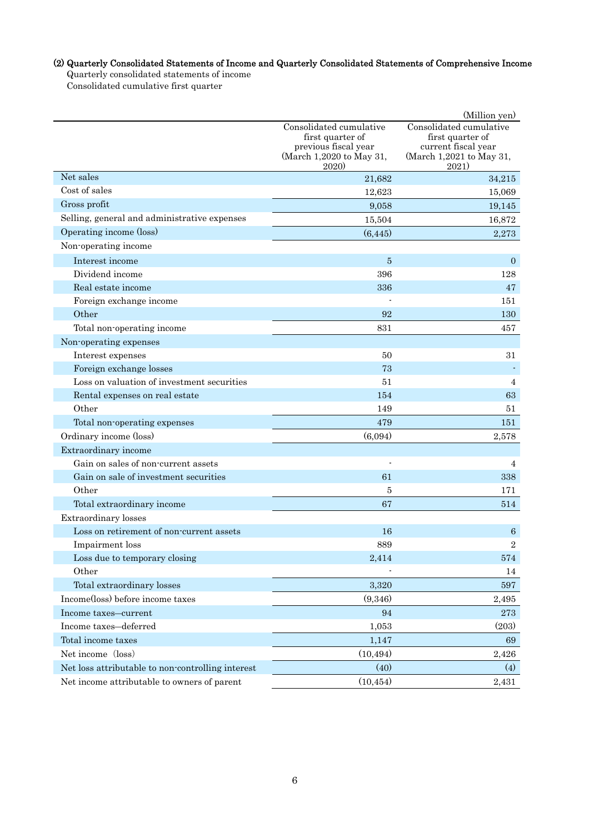# (2) Quarterly Consolidated Statements of Income and Quarterly Consolidated Statements of Comprehensive Income

Quarterly consolidated statements of income

Consolidated cumulative first quarter

|                                                   |                                                                                                                | (Million yen)                                                                                           |
|---------------------------------------------------|----------------------------------------------------------------------------------------------------------------|---------------------------------------------------------------------------------------------------------|
|                                                   | Consolidated cumulative<br>first quarter of<br>previous fiscal year<br>(March 1,2020 to May 31,<br><b>2020</b> | Consolidated cumulative<br>first quarter of<br>current fiscal year<br>(March 1,2021 to May 31,<br>2021) |
| Net sales                                         | 21,682                                                                                                         | 34,215                                                                                                  |
| Cost of sales                                     | 12,623                                                                                                         | 15,069                                                                                                  |
| Gross profit                                      | 9,058                                                                                                          | 19,145                                                                                                  |
| Selling, general and administrative expenses      | 15,504                                                                                                         | 16,872                                                                                                  |
| Operating income (loss)                           | (6, 445)                                                                                                       | 2,273                                                                                                   |
| Non-operating income                              |                                                                                                                |                                                                                                         |
| Interest income                                   | 5                                                                                                              | $\overline{0}$                                                                                          |
| Dividend income                                   | 396                                                                                                            | 128                                                                                                     |
| Real estate income                                | 336                                                                                                            | 47                                                                                                      |
| Foreign exchange income                           |                                                                                                                | 151                                                                                                     |
| Other                                             | 92                                                                                                             | 130                                                                                                     |
| Total non-operating income                        | 831                                                                                                            | 457                                                                                                     |
| Non-operating expenses                            |                                                                                                                |                                                                                                         |
| Interest expenses                                 | 50                                                                                                             | 31                                                                                                      |
| Foreign exchange losses                           | 73                                                                                                             |                                                                                                         |
| Loss on valuation of investment securities        | 51                                                                                                             | $\overline{4}$                                                                                          |
| Rental expenses on real estate                    | 154                                                                                                            | 63                                                                                                      |
| Other                                             | 149                                                                                                            | 51                                                                                                      |
| Total non-operating expenses                      | 479                                                                                                            | 151                                                                                                     |
| Ordinary income (loss)                            | (6,094)                                                                                                        | 2,578                                                                                                   |
| Extraordinary income                              |                                                                                                                |                                                                                                         |
| Gain on sales of non-current assets               |                                                                                                                | 4                                                                                                       |
| Gain on sale of investment securities             | 61                                                                                                             | 338                                                                                                     |
| Other                                             | 5                                                                                                              | 171                                                                                                     |
| Total extraordinary income                        | 67                                                                                                             | 514                                                                                                     |
| <b>Extraordinary</b> losses                       |                                                                                                                |                                                                                                         |
| Loss on retirement of non-current assets          | 16                                                                                                             | 6                                                                                                       |
| Impairment loss                                   | 889                                                                                                            | $\sqrt{2}$                                                                                              |
| Loss due to temporary closing                     | 2,414                                                                                                          | 574                                                                                                     |
| Other                                             |                                                                                                                | 14                                                                                                      |
| Total extraordinary losses                        | 3,320                                                                                                          | 597                                                                                                     |
| Income(loss) before income taxes                  | (9,346)                                                                                                        | 2,495                                                                                                   |
| Income taxes-current                              | 94                                                                                                             | 273                                                                                                     |
| Income taxes-deferred                             | 1,053                                                                                                          | (203)                                                                                                   |
| Total income taxes                                | 1,147                                                                                                          | 69                                                                                                      |
| Net income (loss)                                 | (10, 494)                                                                                                      | 2,426                                                                                                   |
| Net loss attributable to non-controlling interest | (40)                                                                                                           | (4)                                                                                                     |
| Net income attributable to owners of parent       | (10, 454)                                                                                                      | 2,431                                                                                                   |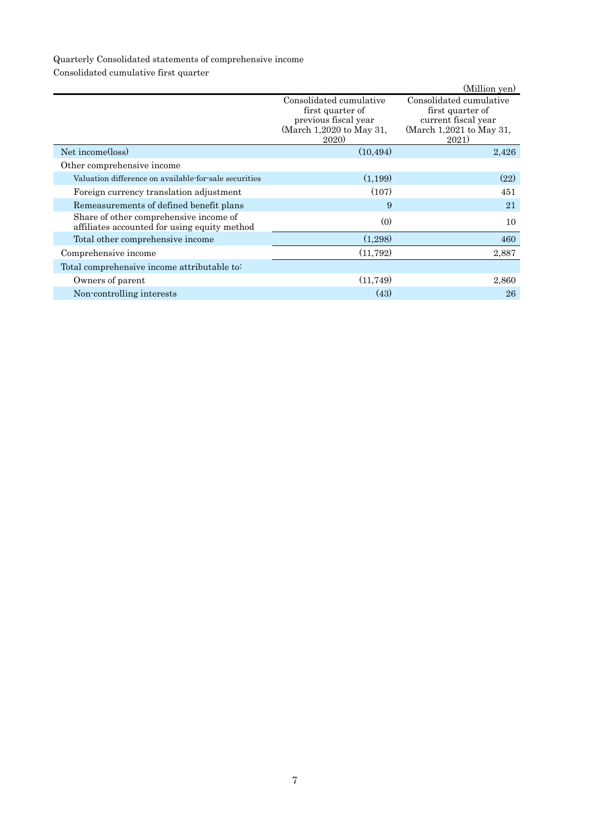# Quarterly Consolidated statements of comprehensive income

Consolidated cumulative first quarter

|                                                                                        |                                                                                                                | (Million yen)                                                                                           |
|----------------------------------------------------------------------------------------|----------------------------------------------------------------------------------------------------------------|---------------------------------------------------------------------------------------------------------|
|                                                                                        | Consolidated cumulative<br>first quarter of<br>previous fiscal year<br>(March 1,2020 to May 31,<br><b>2020</b> | Consolidated cumulative<br>first quarter of<br>current fiscal year<br>(March 1,2021 to May 31,<br>2021) |
| Net income(loss)                                                                       | (10, 494)                                                                                                      | 2,426                                                                                                   |
| Other comprehensive income                                                             |                                                                                                                |                                                                                                         |
| Valuation difference on available for sale securities                                  | (1,199)                                                                                                        | (22)                                                                                                    |
| Foreign currency translation adjustment                                                | (107)                                                                                                          | 451                                                                                                     |
| Remeasurements of defined benefit plans                                                | 9                                                                                                              | 21                                                                                                      |
| Share of other comprehensive income of<br>affiliates accounted for using equity method | (0)                                                                                                            | 10                                                                                                      |
| Total other comprehensive income                                                       | (1,298)                                                                                                        | 460                                                                                                     |
| Comprehensive income                                                                   | (11, 792)                                                                                                      | 2,887                                                                                                   |
| Total comprehensive income attributable to:                                            |                                                                                                                |                                                                                                         |
| Owners of parent                                                                       | (11,749)                                                                                                       | 2,860                                                                                                   |
| Non-controlling interests                                                              | (43)                                                                                                           | 26                                                                                                      |
|                                                                                        |                                                                                                                |                                                                                                         |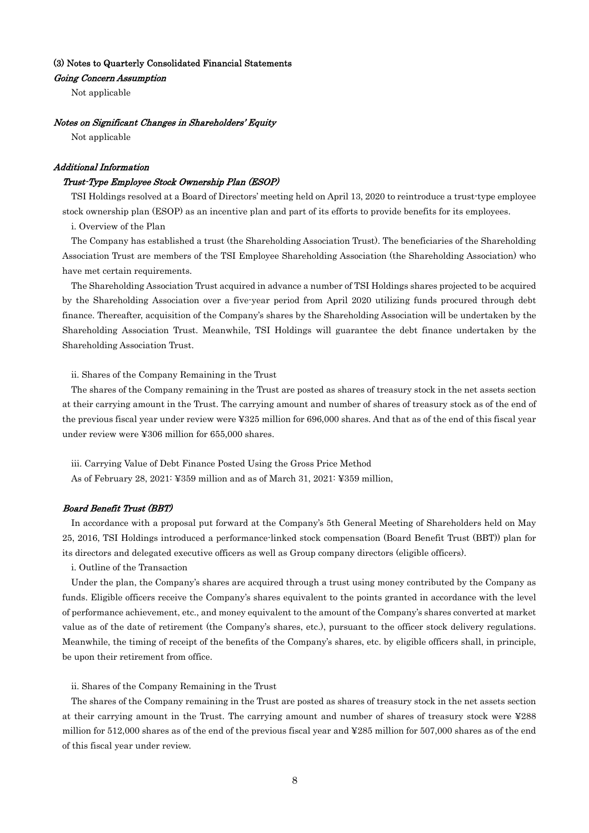## (3) Notes to Quarterly Consolidated Financial Statements

### Going Concern Assumption

Not applicable

#### Notes on Significant Changes in Shareholders' Equity

Not applicable

## Additional Information

#### Trust-Type Employee Stock Ownership Plan (ESOP)

TSI Holdings resolved at a Board of Directors' meeting held on April 13, 2020 to reintroduce a trust-type employee stock ownership plan (ESOP) as an incentive plan and part of its efforts to provide benefits for its employees.

i. Overview of the Plan

The Company has established a trust (the Shareholding Association Trust). The beneficiaries of the Shareholding Association Trust are members of the TSI Employee Shareholding Association (the Shareholding Association) who have met certain requirements.

The Shareholding Association Trust acquired in advance a number of TSI Holdings shares projected to be acquired by the Shareholding Association over a five-year period from April 2020 utilizing funds procured through debt finance. Thereafter, acquisition of the Company's shares by the Shareholding Association will be undertaken by the Shareholding Association Trust. Meanwhile, TSI Holdings will guarantee the debt finance undertaken by the Shareholding Association Trust.

ii. Shares of the Company Remaining in the Trust

The shares of the Company remaining in the Trust are posted as shares of treasury stock in the net assets section at their carrying amount in the Trust. The carrying amount and number of shares of treasury stock as of the end of the previous fiscal year under review were ¥325 million for 696,000 shares. And that as of the end of this fiscal year under review were ¥306 million for 655,000 shares.

iii. Carrying Value of Debt Finance Posted Using the Gross Price Method As of February 28, 2021: ¥359 million and as of March 31, 2021: ¥359 million,

### Board Benefit Trust (BBT)

In accordance with a proposal put forward at the Company's 5th General Meeting of Shareholders held on May 25, 2016, TSI Holdings introduced a performance-linked stock compensation (Board Benefit Trust (BBT)) plan for its directors and delegated executive officers as well as Group company directors (eligible officers).

i. Outline of the Transaction

Under the plan, the Company's shares are acquired through a trust using money contributed by the Company as funds. Eligible officers receive the Company's shares equivalent to the points granted in accordance with the level of performance achievement, etc., and money equivalent to the amount of the Company's shares converted at market value as of the date of retirement (the Company's shares, etc.), pursuant to the officer stock delivery regulations. Meanwhile, the timing of receipt of the benefits of the Company's shares, etc. by eligible officers shall, in principle, be upon their retirement from office.

ii. Shares of the Company Remaining in the Trust

The shares of the Company remaining in the Trust are posted as shares of treasury stock in the net assets section at their carrying amount in the Trust. The carrying amount and number of shares of treasury stock were ¥288 million for 512,000 shares as of the end of the previous fiscal year and ¥285 million for 507,000 shares as of the end of this fiscal year under review.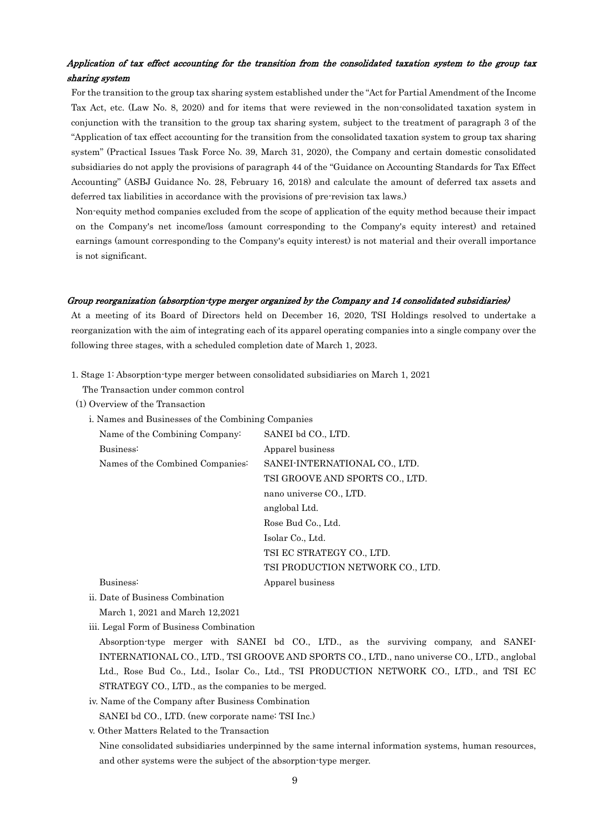## Application of tax effect accounting for the transition from the consolidated taxation system to the group tax sharing system

For the transition to the group tax sharing system established under the "Act for Partial Amendment of the Income Tax Act, etc. (Law No. 8, 2020) and for items that were reviewed in the non-consolidated taxation system in conjunction with the transition to the group tax sharing system, subject to the treatment of paragraph 3 of the "Application of tax effect accounting for the transition from the consolidated taxation system to group tax sharing system" (Practical Issues Task Force No. 39, March 31, 2020), the Company and certain domestic consolidated subsidiaries do not apply the provisions of paragraph 44 of the "Guidance on Accounting Standards for Tax Effect Accounting" (ASBJ Guidance No. 28, February 16, 2018) and calculate the amount of deferred tax assets and deferred tax liabilities in accordance with the provisions of pre-revision tax laws.)

Non-equity method companies excluded from the scope of application of the equity method because their impact on the Company's net income/loss (amount corresponding to the Company's equity interest) and retained earnings (amount corresponding to the Company's equity interest) is not material and their overall importance is not significant.

### Group reorganization (absorption-type merger organized by the Company and 14 consolidated subsidiaries)

At a meeting of its Board of Directors held on December 16, 2020, TSI Holdings resolved to undertake a reorganization with the aim of integrating each of its apparel operating companies into a single company over the following three stages, with a scheduled completion date of March 1, 2023.

1. Stage 1: Absorption-type merger between consolidated subsidiaries on March 1, 2021

The Transaction under common control

- (1) Overview of the Transaction
	- i. Names and Businesses of the Combining Companies

| Name of the Combining Company:   | SANEI bd CO., LTD.               |
|----------------------------------|----------------------------------|
| Business:                        | Apparel business                 |
| Names of the Combined Companies: | SANEI-INTERNATIONAL CO., LTD.    |
|                                  | TSI GROOVE AND SPORTS CO., LTD.  |
|                                  | nano universe CO., LTD.          |
|                                  | anglobal Ltd.                    |
|                                  | Rose Bud Co., Ltd.               |
|                                  | Isolar Co., Ltd.                 |
|                                  | TSI EC STRATEGY CO., LTD.        |
|                                  | TSI PRODUCTION NETWORK CO., LTD. |
| Business:                        | Apparel business                 |
|                                  |                                  |

ii. Date of Business Combination

March 1, 2021 and March 12,2021

iii. Legal Form of Business Combination

Absorption-type merger with SANEI bd CO., LTD., as the surviving company, and SANEI-INTERNATIONAL CO., LTD., TSI GROOVE AND SPORTS CO., LTD., nano universe CO., LTD., anglobal Ltd., Rose Bud Co., Ltd., Isolar Co., Ltd., TSI PRODUCTION NETWORK CO., LTD., and TSI EC STRATEGY CO., LTD., as the companies to be merged.

iv. Name of the Company after Business Combination SANEI bd CO., LTD. (new corporate name: TSI Inc.)

v. Other Matters Related to the Transaction

Nine consolidated subsidiaries underpinned by the same internal information systems, human resources, and other systems were the subject of the absorption-type merger.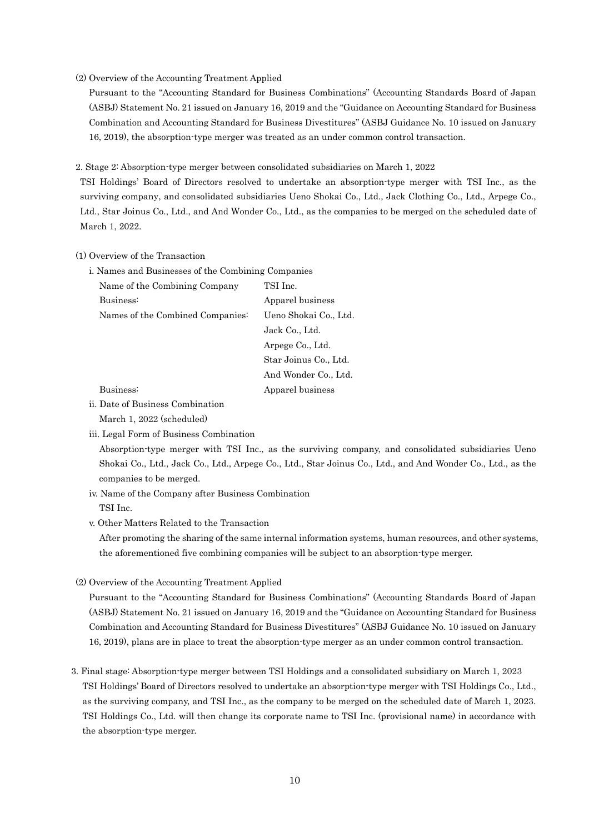### (2) Overview of the Accounting Treatment Applied

Pursuant to the "Accounting Standard for Business Combinations" (Accounting Standards Board of Japan (ASBJ) Statement No. 21 issued on January 16, 2019 and the "Guidance on Accounting Standard for Business Combination and Accounting Standard for Business Divestitures" (ASBJ Guidance No. 10 issued on January 16, 2019), the absorption-type merger was treated as an under common control transaction.

2. Stage 2: Absorption-type merger between consolidated subsidiaries on March 1, 2022

TSI Holdings' Board of Directors resolved to undertake an absorption-type merger with TSI Inc., as the surviving company, and consolidated subsidiaries Ueno Shokai Co., Ltd., Jack Clothing Co., Ltd., Arpege Co., Ltd., Star Joinus Co., Ltd., and And Wonder Co., Ltd., as the companies to be merged on the scheduled date of March 1, 2022.

## (1) Overview of the Transaction

i. Names and Businesses of the Combining Companies

| Name of the Combining Company    | TSI Inc.              |
|----------------------------------|-----------------------|
| Business:                        | Apparel business      |
| Names of the Combined Companies: | Ueno Shokai Co., Ltd. |
|                                  | Jack Co., Ltd.        |
|                                  | Arpege Co., Ltd.      |
|                                  | Star Joinus Co., Ltd. |
|                                  | And Wonder Co., Ltd.  |
| Business:                        | Apparel business      |

### ii. Date of Business Combination

March 1, 2022 (scheduled)

iii. Legal Form of Business Combination

Absorption-type merger with TSI Inc., as the surviving company, and consolidated subsidiaries Ueno Shokai Co., Ltd., Jack Co., Ltd., Arpege Co., Ltd., Star Joinus Co., Ltd., and And Wonder Co., Ltd., as the companies to be merged.

- iv. Name of the Company after Business Combination TSI Inc.
- v. Other Matters Related to the Transaction

After promoting the sharing of the same internal information systems, human resources, and other systems, the aforementioned five combining companies will be subject to an absorption-type merger.

(2) Overview of the Accounting Treatment Applied

Pursuant to the "Accounting Standard for Business Combinations" (Accounting Standards Board of Japan (ASBJ) Statement No. 21 issued on January 16, 2019 and the "Guidance on Accounting Standard for Business Combination and Accounting Standard for Business Divestitures" (ASBJ Guidance No. 10 issued on January 16, 2019), plans are in place to treat the absorption-type merger as an under common control transaction.

3. Final stage: Absorption-type merger between TSI Holdings and a consolidated subsidiary on March 1, 2023 TSI Holdings' Board of Directors resolved to undertake an absorption-type merger with TSI Holdings Co., Ltd., as the surviving company, and TSI Inc., as the company to be merged on the scheduled date of March 1, 2023. TSI Holdings Co., Ltd. will then change its corporate name to TSI Inc. (provisional name) in accordance with the absorption-type merger.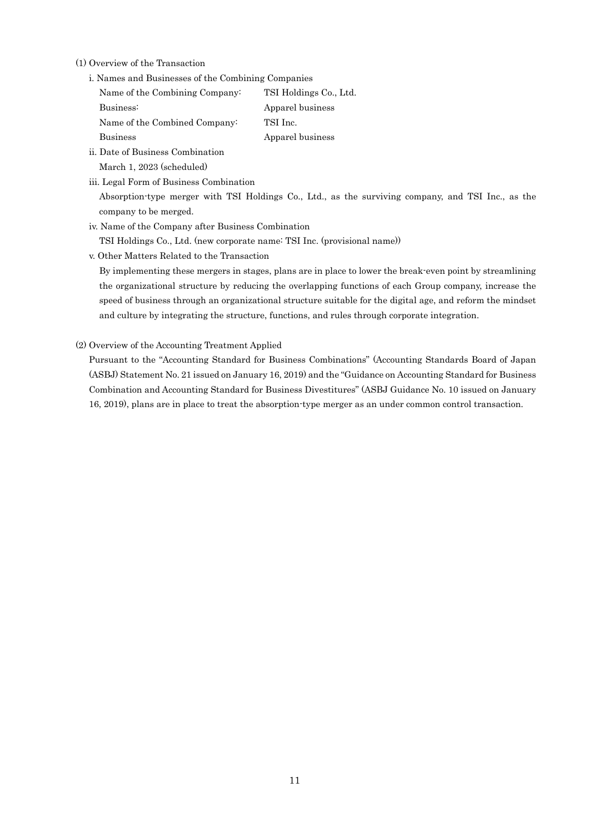(1) Overview of the Transaction

i. Names and Businesses of the Combining Companies

| Name of the Combining Company: | TSI Holdings Co., Ltd. |
|--------------------------------|------------------------|
| Business:                      | Apparel business       |
| Name of the Combined Company:  | TSI Inc.               |
| <b>Business</b>                | Apparel business       |
|                                |                        |

- ii. Date of Business Combination March 1, 2023 (scheduled)
- iii. Legal Form of Business Combination

Absorption-type merger with TSI Holdings Co., Ltd., as the surviving company, and TSI Inc., as the company to be merged.

- iv. Name of the Company after Business Combination
- TSI Holdings Co., Ltd. (new corporate name: TSI Inc. (provisional name))
- v. Other Matters Related to the Transaction

By implementing these mergers in stages, plans are in place to lower the break-even point by streamlining the organizational structure by reducing the overlapping functions of each Group company, increase the speed of business through an organizational structure suitable for the digital age, and reform the mindset and culture by integrating the structure, functions, and rules through corporate integration.

(2) Overview of the Accounting Treatment Applied

Pursuant to the "Accounting Standard for Business Combinations" (Accounting Standards Board of Japan (ASBJ) Statement No. 21 issued on January 16, 2019) and the "Guidance on Accounting Standard for Business Combination and Accounting Standard for Business Divestitures" (ASBJ Guidance No. 10 issued on January 16, 2019), plans are in place to treat the absorption-type merger as an under common control transaction.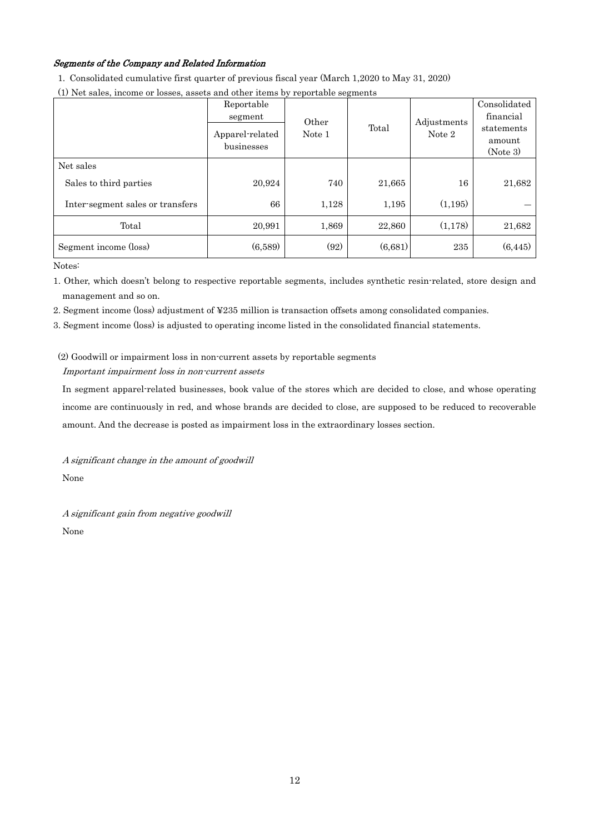## Segments of the Company and Related Information

1. Consolidated cumulative first quarter of previous fiscal year (March 1,2020 to May 31, 2020)

| (1) Net sales, income or losses, assets and other items by reportable segments |
|--------------------------------------------------------------------------------|
|--------------------------------------------------------------------------------|

|                                  | Reportable<br>segment<br>Apparel-related<br>businesses | Other<br>Note 1 | Total   | Adjustments<br>Note 2 | Consolidated<br>financial<br>statements<br>amount<br>(Note 3) |
|----------------------------------|--------------------------------------------------------|-----------------|---------|-----------------------|---------------------------------------------------------------|
| Net sales                        |                                                        |                 |         |                       |                                                               |
| Sales to third parties           | 20,924                                                 | 740             | 21,665  | 16                    | 21,682                                                        |
| Inter-segment sales or transfers | 66                                                     | 1,128           | 1,195   | (1, 195)              |                                                               |
| Total                            | 20,991                                                 | 1,869           | 22,860  | (1,178)               | 21,682                                                        |
| Segment income (loss)            | (6,589)                                                | (92)            | (6,681) | 235                   | (6, 445)                                                      |

Notes:

1. Other, which doesn't belong to respective reportable segments, includes synthetic resin-related, store design and management and so on.

2. Segment income (loss) adjustment of ¥235 million is transaction offsets among consolidated companies.

3. Segment income (loss) is adjusted to operating income listed in the consolidated financial statements.

## (2) Goodwill or impairment loss in non-current assets by reportable segments Important impairment loss in non-current assets

In segment apparel-related businesses, book value of the stores which are decided to close, and whose operating income are continuously in red, and whose brands are decided to close, are supposed to be reduced to recoverable amount. And the decrease is posted as impairment loss in the extraordinary losses section.

A significant change in the amount of goodwill None

A significant gain from negative goodwill None